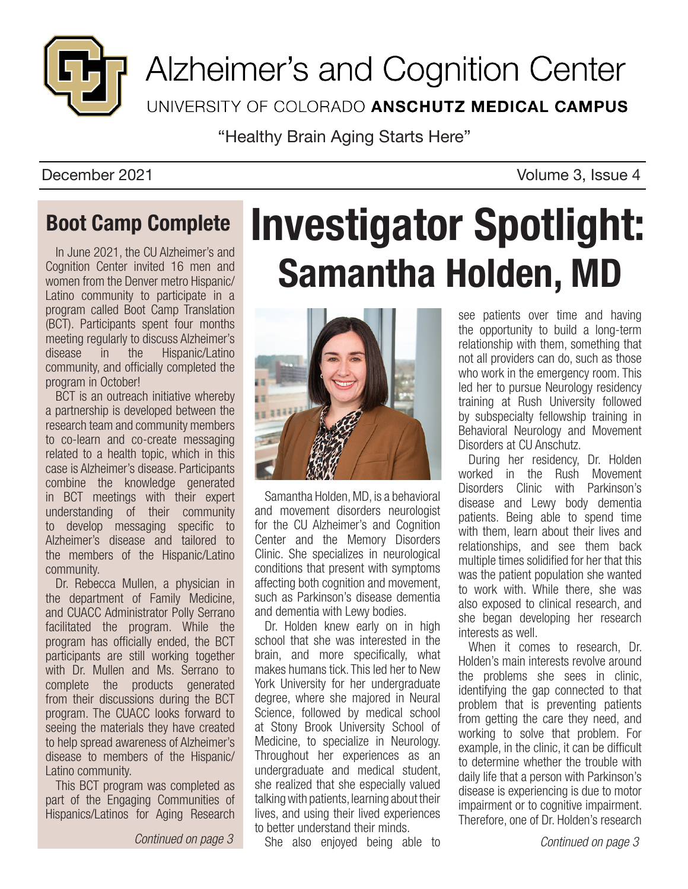

Alzheimer's and Cognition Center UNIVERSITY OF COLORADO ANSCHUTZ MEDICAL CAMPUS

"Healthy Brain Aging Starts Here"

December 2021 **Volume 3, Issue 4** 

## Boot Camp Complete

In June 2021, the CU Alzheimer's and Cognition Center invited 16 men and women from the Denver metro Hispanic/ Latino community to participate in a program called Boot Camp Translation (BCT). Participants spent four months meeting regularly to discuss Alzheimer's disease in the Hispanic/Latino community, and officially completed the program in October!

BCT is an outreach initiative whereby a partnership is developed between the research team and community members to co-learn and co-create messaging related to a health topic, which in this case is Alzheimer's disease. Participants combine the knowledge generated in BCT meetings with their expert understanding of their community to develop messaging specific to Alzheimer's disease and tailored to the members of the Hispanic/Latino community.

Dr. Rebecca Mullen, a physician in the department of Family Medicine, and CUACC Administrator Polly Serrano facilitated the program. While the program has officially ended, the BCT participants are still working together with Dr. Mullen and Ms. Serrano to complete the products generated from their discussions during the BCT program. The CUACC looks forward to seeing the materials they have created to help spread awareness of Alzheimer's disease to members of the Hispanic/ Latino community.

This BCT program was completed as part of the Engaging Communities of Hispanics/Latinos for Aging Research

*Continued on page 3*

# Investigator Spotlight: Samantha Holden, MD



Samantha Holden, MD, is a behavioral and movement disorders neurologist for the CU Alzheimer's and Cognition Center and the Memory Disorders Clinic. She specializes in neurological conditions that present with symptoms affecting both cognition and movement, such as Parkinson's disease dementia and dementia with Lewy bodies.

Dr. Holden knew early on in high school that she was interested in the brain, and more specifically, what makes humans tick. This led her to New York University for her undergraduate degree, where she majored in Neural Science, followed by medical school at Stony Brook University School of Medicine, to specialize in Neurology. Throughout her experiences as an undergraduate and medical student, she realized that she especially valued talking with patients, learning about their lives, and using their lived experiences to better understand their minds.

She also enjoyed being able to

see patients over time and having the opportunity to build a long-term relationship with them, something that not all providers can do, such as those who work in the emergency room. This led her to pursue Neurology residency training at Rush University followed by subspecialty fellowship training in Behavioral Neurology and Movement Disorders at CU Anschutz.

During her residency, Dr. Holden worked in the Rush Movement Disorders Clinic with Parkinson's disease and Lewy body dementia patients. Being able to spend time with them, learn about their lives and relationships, and see them back multiple times solidified for her that this was the patient population she wanted to work with. While there, she was also exposed to clinical research, and she began developing her research interests as well.

When it comes to research, Dr. Holden's main interests revolve around the problems she sees in clinic, identifying the gap connected to that problem that is preventing patients from getting the care they need, and working to solve that problem. For example, in the clinic, it can be difficult to determine whether the trouble with daily life that a person with Parkinson's disease is experiencing is due to motor impairment or to cognitive impairment. Therefore, one of Dr. Holden's research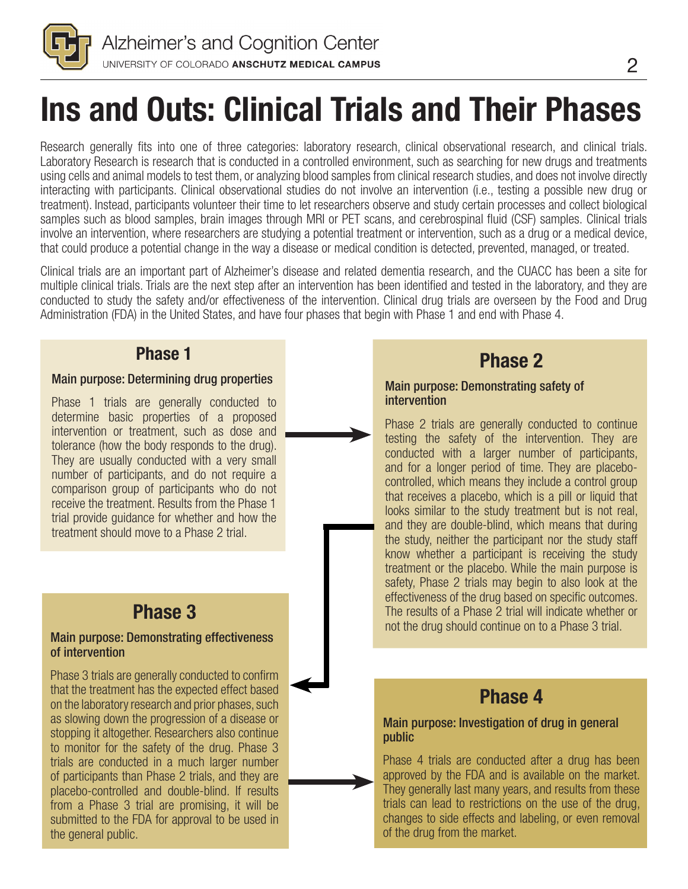

# Ins and Outs: Clinical Trials and Their Phases

Research generally fits into one of three categories: laboratory research, clinical observational research, and clinical trials. Laboratory Research is research that is conducted in a controlled environment, such as searching for new drugs and treatments using cells and animal models to test them, or analyzing blood samples from clinical research studies, and does not involve directly interacting with participants. Clinical observational studies do not involve an intervention (i.e., testing a possible new drug or treatment). Instead, participants volunteer their time to let researchers observe and study certain processes and collect biological samples such as blood samples, brain images through MRI or PET scans, and cerebrospinal fluid (CSF) samples. Clinical trials involve an intervention, where researchers are studying a potential treatment or intervention, such as a drug or a medical device, that could produce a potential change in the way a disease or medical condition is detected, prevented, managed, or treated.

Clinical trials are an important part of Alzheimer's disease and related dementia research, and the CUACC has been a site for multiple clinical trials. Trials are the next step after an intervention has been identified and tested in the laboratory, and they are conducted to study the safety and/or effectiveness of the intervention. Clinical drug trials are overseen by the Food and Drug Administration (FDA) in the United States, and have four phases that begin with Phase 1 and end with Phase 4.

## Phase 1

### Main purpose: Determining drug properties

Phase 1 trials are generally conducted to determine basic properties of a proposed intervention or treatment, such as dose and tolerance (how the body responds to the drug). They are usually conducted with a very small number of participants, and do not require a comparison group of participants who do not receive the treatment. Results from the Phase 1 trial provide guidance for whether and how the treatment should move to a Phase 2 trial.

## Phase 3

#### Main purpose: Demonstrating effectiveness of intervention

Phase 3 trials are generally conducted to confirm that the treatment has the expected effect based on the laboratory research and prior phases, such as slowing down the progression of a disease or stopping it altogether. Researchers also continue to monitor for the safety of the drug. Phase 3 trials are conducted in a much larger number of participants than Phase 2 trials, and they are placebo-controlled and double-blind. If results from a Phase 3 trial are promising, it will be submitted to the FDA for approval to be used in the general public.

## Phase 2

#### Main purpose: Demonstrating safety of intervention

Phase 2 trials are generally conducted to continue testing the safety of the intervention. They are conducted with a larger number of participants, and for a longer period of time. They are placebocontrolled, which means they include a control group that receives a placebo, which is a pill or liquid that looks similar to the study treatment but is not real, and they are double-blind, which means that during the study, neither the participant nor the study staff know whether a participant is receiving the study treatment or the placebo. While the main purpose is safety, Phase 2 trials may begin to also look at the effectiveness of the drug based on specific outcomes. The results of a Phase 2 trial will indicate whether or not the drug should continue on to a Phase 3 trial.

## Phase 4

#### Main purpose: Investigation of drug in general public

Phase 4 trials are conducted after a drug has been approved by the FDA and is available on the market. They generally last many years, and results from these trials can lead to restrictions on the use of the drug, changes to side effects and labeling, or even removal of the drug from the market.